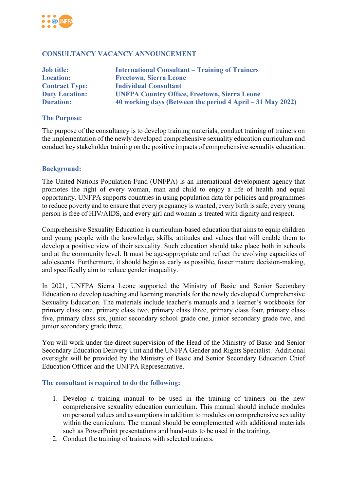

### **CONSULTANCY VACANCY ANNOUNCEMENT**

| <b>Job title:</b>     | <b>International Consultant – Training of Trainers</b>     |
|-----------------------|------------------------------------------------------------|
| <b>Location:</b>      | <b>Freetown, Sierra Leone</b>                              |
| <b>Contract Type:</b> | <b>Individual Consultant</b>                               |
| <b>Duty Location:</b> | <b>UNFPA Country Office, Freetown, Sierra Leone</b>        |
| <b>Duration:</b>      | 40 working days (Between the period 4 April – 31 May 2022) |

#### **The Purpose:**

The purpose of the consultancy is to develop training materials, conduct training of trainers on the implementation of the newly developed comprehensive sexuality education curriculum and conduct key stakeholder training on the positive impacts of comprehensive sexuality education.

#### **Background:**

The United Nations Population Fund (UNFPA) is an international development agency that promotes the right of every woman, man and child to enjoy a life of health and equal opportunity. UNFPA supports countries in using population data for policies and programmes to reduce poverty and to ensure that every pregnancy is wanted, every birth is safe, every young person is free of HIV/AIDS, and every girl and woman is treated with dignity and respect.

Comprehensive Sexuality Education is curriculum-based education that aims to equip children and young people with the knowledge, skills, attitudes and values that will enable them to develop a positive view of their sexuality. Such education should take place both in schools and at the community level. It must be age-appropriate and reflect the evolving capacities of adolescents. Furthermore, it should begin as early as possible, foster mature decision-making, and specifically aim to reduce gender inequality.

In 2021, UNFPA Sierra Leone supported the Ministry of Basic and Senior Secondary Education to develop teaching and learning materials for the newly developed Comprehensive Sexuality Education. The materials include teacher's manuals and a learner's workbooks for primary class one, primary class two, primary class three, primary class four, primary class five, primary class six, junior secondary school grade one, junior secondary grade two, and junior secondary grade three.

You will work under the direct supervision of the Head of the Ministry of Basic and Senior Secondary Education Delivery Unit and the UNFPA Gender and Rights Specialist. Additional oversight will be provided by the Ministry of Basic and Senior Secondary Education Chief Education Officer and the UNFPA Representative.

#### **The consultant is required to do the following:**

- 1. Develop a training manual to be used in the training of trainers on the new comprehensive sexuality education curriculum. This manual should include modules on personal values and assumptions in addition to modules on comprehensive sexuality within the curriculum. The manual should be complemented with additional materials such as PowerPoint presentations and hand-outs to be used in the training.
- 2. Conduct the training of trainers with selected trainers.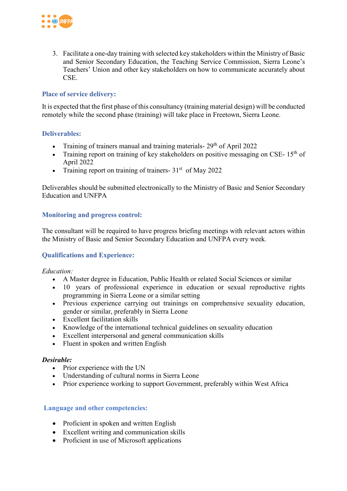

3. Facilitate a one-day training with selected key stakeholders within the Ministry of Basic and Senior Secondary Education, the Teaching Service Commission, Sierra Leone's Teachers' Union and other key stakeholders on how to communicate accurately about CSE.

## **Place of service delivery:**

It is expected that the first phase of this consultancy (training material design) will be conducted remotely while the second phase (training) will take place in Freetown, Sierra Leone.

### **Deliverables:**

- Training of trainers manual and training materials-  $29<sup>th</sup>$  of April 2022
- Training report on training of key stakeholders on positive messaging on CSE-  $15<sup>th</sup>$  of April 2022
- Training report on training of trainers-  $31<sup>st</sup>$  of May 2022

Deliverables should be submitted electronically to the Ministry of Basic and Senior Secondary Education and UNFPA

# **Monitoring and progress control:**

The consultant will be required to have progress briefing meetings with relevant actors within the Ministry of Basic and Senior Secondary Education and UNFPA every week*.*

# **Qualifications and Experience:**

*Education:* 

- A Master degree in Education, Public Health or related Social Sciences or similar
- 10 years of professional experience in education or sexual reproductive rights programming in Sierra Leone or a similar setting
- Previous experience carrying out trainings on comprehensive sexuality education, gender or similar, preferably in Sierra Leone
- Excellent facilitation skills
- Knowledge of the international technical guidelines on sexuality education
- Excellent interpersonal and general communication skills
- Fluent in spoken and written English

#### *Desirable:*

- Prior experience with the UN
- Understanding of cultural norms in Sierra Leone
- Prior experience working to support Government, preferably within West Africa

#### **Language and other competencies:**

- Proficient in spoken and written English
- Excellent writing and communication skills
- Proficient in use of Microsoft applications